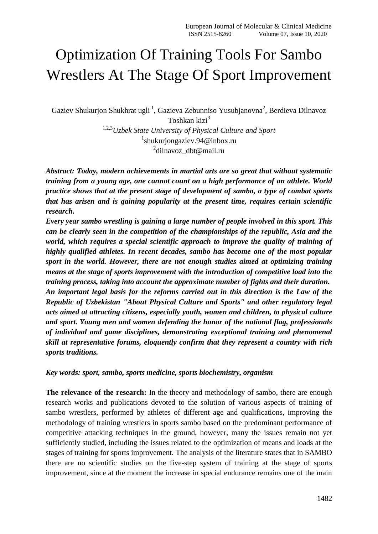# Optimization Of Training Tools For Sambo Wrestlers At The Stage Of Sport Improvement

Gaziev Shukurjon Shukhrat ugli<sup>1</sup>, Gazieva Zebunniso Yusubjanovna<sup>2</sup>, Berdieva Dilnavoz Toshkan kizi<sup>3</sup>

> 1,2,3*Uzbek State University of Physical Culture and Sport* 1 shukurjongaziev.94@inbox.ru <sup>2</sup>dilnavoz\_dbt@mail.ru

*Abstract: Today, modern achievements in martial arts are so great that without systematic training from a young age, one cannot count on a high performance of an athlete. World practice shows that at the present stage of development of sambo, a type of combat sports that has arisen and is gaining popularity at the present time, requires certain scientific research.*

*Every year sambo wrestling is gaining a large number of people involved in this sport. This can be clearly seen in the competition of the championships of the republic, Asia and the world, which requires a special scientific approach to improve the quality of training of highly qualified athletes. In recent decades, sambo has become one of the most popular sport in the world. However, there are not enough studies aimed at optimizing training means at the stage of sports improvement with the introduction of competitive load into the training process, taking into account the approximate number of fights and their duration. An important legal basis for the reforms carried out in this direction is the Law of the Republic of Uzbekistan "About Physical Culture and Sports" and other regulatory legal acts aimed at attracting citizens, especially youth, women and children, to physical culture and sport. Young men and women defending the honor of the national flag, professionals of individual and game disciplines, demonstrating exceptional training and phenomenal skill at representative forums, eloquently confirm that they represent a country with rich sports traditions.*

## *Key words: sport, sambo, sports medicine, sports biochemistry, organism*

**The relevance of the research:** In the theory and methodology of sambo, there are enough research works and publications devoted to the solution of various aspects of training of sambo wrestlers, performed by athletes of different age and qualifications, improving the methodology of training wrestlers in sports sambo based on the predominant performance of competitive attacking techniques in the ground, however, many the issues remain not yet sufficiently studied, including the issues related to the optimization of means and loads at the stages of training for sports improvement. The analysis of the literature states that in SAMBO there are no scientific studies on the five-step system of training at the stage of sports improvement, since at the moment the increase in special endurance remains one of the main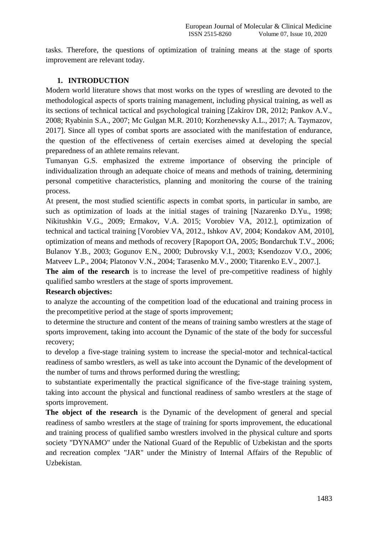tasks. Therefore, the questions of optimization of training means at the stage of sports improvement are relevant today.

# **1. INTRODUCTION**

Modern world literature shows that most works on the types of wrestling are devoted to the methodological aspects of sports training management, including physical training, as well as its sections of technical tactical and psychological training [Zakirov DR, 2012; Pankov A.V., 2008; Ryabinin S.A., 2007; Mc Gulgan M.R. 2010; Korzhenevsky A.L., 2017; A. Taymazov, 2017]. Since all types of combat sports are associated with the manifestation of endurance, the question of the effectiveness of certain exercises aimed at developing the special preparedness of an athlete remains relevant.

Tumanyan G.S. emphasized the extreme importance of observing the principle of individualization through an adequate choice of means and methods of training, determining personal competitive characteristics, planning and monitoring the course of the training process.

At present, the most studied scientific aspects in combat sports, in particular in sambo, are such as optimization of loads at the initial stages of training [Nazarenko D.Yu., 1998; Nikitushkin V.G., 2009; Ermakov, V.A. 2015; Vorobiev VA, 2012.], optimization of technical and tactical training [Vorobiev VA, 2012., Ishkov AV, 2004; Kondakov AM, 2010], optimization of means and methods of recovery [Rapoport OA, 2005; Bondarchuk T.V., 2006; Bulanov Y.B., 2003; Gogunov E.N., 2000; Dubrovsky V.I., 2003; Ksendozov V.O., 2006; Matveev L.P., 2004; Platonov V.N., 2004; Tarasenko M.V., 2000; Titarenko E.V., 2007.].

The aim of the research is to increase the level of pre-competitive readiness of highly qualified sambo wrestlers at the stage of sports improvement.

# **Research objectives:**

to analyze the accounting of the competition load of the educational and training process in the precompetitive period at the stage of sports improvement;

to determine the structure and content of the means of training sambo wrestlers at the stage of sports improvement, taking into account the Dynamic of the state of the body for successful recovery;

to develop a five-stage training system to increase the special-motor and technical-tactical readiness of sambo wrestlers, as well as take into account the Dynamic of the development of the number of turns and throws performed during the wrestling;

to substantiate experimentally the practical significance of the five-stage training system, taking into account the physical and functional readiness of sambo wrestlers at the stage of sports improvement.

**The object of the research** is the Dynamic of the development of general and special readiness of sambo wrestlers at the stage of training for sports improvement, the educational and training process of qualified sambo wrestlers involved in the physical culture and sports society "DYNAMO" under the National Guard of the Republic of Uzbekistan and the sports and recreation complex "JAR" under the Ministry of Internal Affairs of the Republic of Uzbekistan.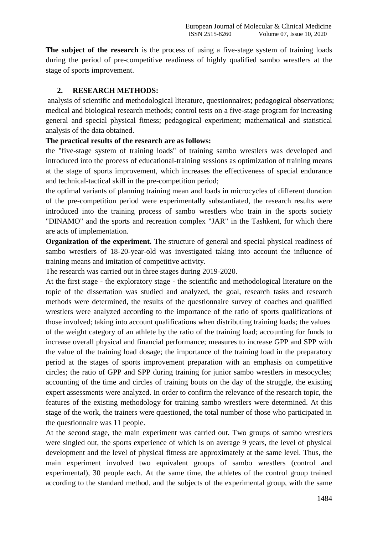**The subject of the research** is the process of using a five-stage system of training loads during the period of pre-competitive readiness of highly qualified sambo wrestlers at the stage of sports improvement.

# **2. RESEARCH METHODS:**

analysis of scientific and methodological literature, questionnaires; pedagogical observations; medical and biological research methods; control tests on a five-stage program for increasing general and special physical fitness; pedagogical experiment; mathematical and statistical analysis of the data obtained.

# **The practical results of the research are as follows:**

the "five-stage system of training loads" of training sambo wrestlers was developed and introduced into the process of educational-training sessions as optimization of training means at the stage of sports improvement, which increases the effectiveness of special endurance and technical-tactical skill in the pre-competition period;

the optimal variants of planning training mean and loads in microcycles of different duration of the pre-competition period were experimentally substantiated, the research results were introduced into the training process of sambo wrestlers who train in the sports society "DINAMO" and the sports and recreation complex "JAR" in the Tashkent, for which there are acts of implementation.

**Organization of the experiment.** The structure of general and special physical readiness of sambo wrestlers of 18-20-year-old was investigated taking into account the influence of training means and imitation of competitive activity.

The research was carried out in three stages during 2019-2020.

At the first stage - the exploratory stage - the scientific and methodological literature on the topic of the dissertation was studied and analyzed, the goal, research tasks and research methods were determined, the results of the questionnaire survey of coaches and qualified wrestlers were analyzed according to the importance of the ratio of sports qualifications of those involved; taking into account qualifications when distributing training loads; the values of the weight category of an athlete by the ratio of the training load; accounting for funds to increase overall physical and financial performance; measures to increase GPP and SPP with the value of the training load dosage; the importance of the training load in the preparatory period at the stages of sports improvement preparation with an emphasis on competitive circles; the ratio of GPP and SPP during training for junior sambo wrestlers in mesocycles; accounting of the time and circles of training bouts on the day of the struggle, the existing expert assessments were analyzed. In order to confirm the relevance of the research topic, the features of the existing methodology for training sambo wrestlers were determined. At this stage of the work, the trainers were questioned, the total number of those who participated in the questionnaire was 11 people.

At the second stage, the main experiment was carried out. Two groups of sambo wrestlers were singled out, the sports experience of which is on average 9 years, the level of physical development and the level of physical fitness are approximately at the same level. Thus, the main experiment involved two equivalent groups of sambo wrestlers (control and experimental), 30 people each. At the same time, the athletes of the control group trained according to the standard method, and the subjects of the experimental group, with the same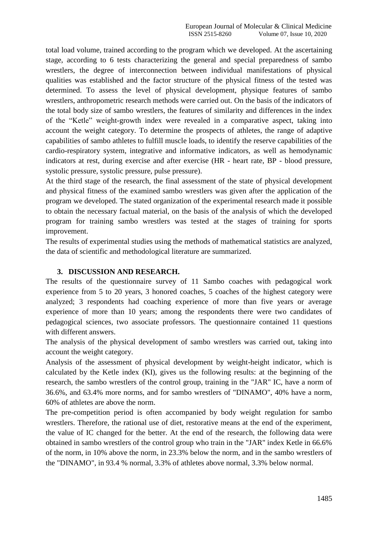total load volume, trained according to the program which we developed. At the ascertaining stage, according to 6 tests characterizing the general and special preparedness of sambo wrestlers, the degree of interconnection between individual manifestations of physical qualities was established and the factor structure of the physical fitness of the tested was determined. To assess the level of physical development, physique features of sambo wrestlers, anthropometric research methods were carried out. On the basis of the indicators of the total body size of sambo wrestlers, the features of similarity and differences in the index of the "Ketle" weight-growth index were revealed in a comparative aspect, taking into account the weight category. To determine the prospects of athletes, the range of adaptive capabilities of sambo athletes to fulfill muscle loads, to identify the reserve capabilities of the cardio-respiratory system, integrative and informative indicators, as well as hemodynamic indicators at rest, during exercise and after exercise (HR - heart rate, BP - blood pressure, systolic pressure, systolic pressure, pulse pressure).

At the third stage of the research, the final assessment of the state of physical development and physical fitness of the examined sambo wrestlers was given after the application of the program we developed. The stated organization of the experimental research made it possible to obtain the necessary factual material, on the basis of the analysis of which the developed program for training sambo wrestlers was tested at the stages of training for sports improvement.

The results of experimental studies using the methods of mathematical statistics are analyzed, the data of scientific and methodological literature are summarized.

## **3. DISCUSSION AND RESEARCH.**

The results of the questionnaire survey of 11 Sambo coaches with pedagogical work experience from 5 to 20 years, 3 honored coaches, 5 coaches of the highest category were analyzed; 3 respondents had coaching experience of more than five years or average experience of more than 10 years; among the respondents there were two candidates of pedagogical sciences, two associate professors. The questionnaire contained 11 questions with different answers.

The analysis of the physical development of sambo wrestlers was carried out, taking into account the weight category.

Analysis of the assessment of physical development by weight-height indicator, which is calculated by the Ketle index (KI), gives us the following results: at the beginning of the research, the sambo wrestlers of the control group, training in the "JAR" IC, have a norm of 36.6%, and 63.4% more norms, and for sambo wrestlers of "DINAMO", 40% have a norm, 60% of athletes are above the norm.

The pre-competition period is often accompanied by body weight regulation for sambo wrestlers. Therefore, the rational use of diet, restorative means at the end of the experiment, the value of IC changed for the better. At the end of the research, the following data were obtained in sambo wrestlers of the control group who train in the "JAR" index Ketle in 66.6% of the norm, in 10% above the norm, in 23.3% below the norm, and in the sambo wrestlers of the "DINAMO", in 93.4 % normal, 3.3% of athletes above normal, 3.3% below normal.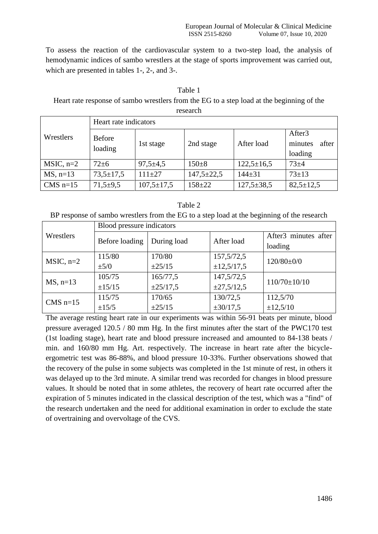minutes after

loading

To assess the reaction of the cardiovascular system to a two-step load, the analysis of hemodynamic indices of sambo wrestlers at the stage of sports improvement was carried out, which are presented in tables 1-, 2-, and 3-.

| Heart rate response of sambo wrestlers from the EG to a step load at the beginning of the<br>research |                       |  |  |  |                    |  |
|-------------------------------------------------------------------------------------------------------|-----------------------|--|--|--|--------------------|--|
|                                                                                                       | Heart rate indicators |  |  |  |                    |  |
| Wrestlers                                                                                             | <b>Before</b>         |  |  |  | After <sub>3</sub> |  |

 $\begin{array}{c|c}\n\text{Deding} \\
\end{array}$  1st stage 2nd stage After load

MSIC, n=2 72±6 97,5±4,5 150±8 122,5±16,5 73±4 MS, n=13 73,5±17,5 111±27 147,5±22,5 144±31 73±13 CMS n=15 71,5±9,5 107,5±17,5 158±22 127,5±38,5 82,5±12,5

| Table 1                                                                                   |  |
|-------------------------------------------------------------------------------------------|--|
| Leart rate response of sambo wrestlers from the EG to a step load at the beginning of the |  |
|                                                                                           |  |

| ını<br>Ω |
|----------|
|----------|

BP response of sambo wrestlers from the EG to a step load at the beginning of the research

|              | Blood pressure indicators |               |                 |                                  |  |  |  |  |
|--------------|---------------------------|---------------|-----------------|----------------------------------|--|--|--|--|
| Wrestlers    | Before loading            | During load   | After load      | After <sub>3</sub> minutes after |  |  |  |  |
|              |                           |               |                 | loading                          |  |  |  |  |
| $MSIC$ , n=2 | 115/80                    | 170/80        | 157,5/72,5      | $120/80 \pm 0/0$                 |  |  |  |  |
|              | $\pm$ 5/0                 | ±25/15        | ±12,5/17,5      |                                  |  |  |  |  |
| $MS$ , n=13  | 105/75                    | 165/77,5      | 147,5/72,5      | $110/70 \pm 10/10$               |  |  |  |  |
|              | ±15/15                    | $\pm 25/17,5$ | $\pm 27,5/12,5$ |                                  |  |  |  |  |
| $CMS$ n=15   | 115/75                    | 170/65        | 130/72,5        | 112,5/70                         |  |  |  |  |
|              | $\pm 15/5$                | ±25/15        | $\pm 30/17,5$   | ±12,5/10                         |  |  |  |  |

The average resting heart rate in our experiments was within 56-91 beats per minute, blood pressure averaged 120.5 / 80 mm Hg. In the first minutes after the start of the PWC170 test (1st loading stage), heart rate and blood pressure increased and amounted to 84-138 beats / min. and 160/80 mm Hg. Art. respectively. The increase in heart rate after the bicycleergometric test was 86-88%, and blood pressure 10-33%. Further observations showed that the recovery of the pulse in some subjects was completed in the 1st minute of rest, in others it was delayed up to the 3rd minute. A similar trend was recorded for changes in blood pressure values. It should be noted that in some athletes, the recovery of heart rate occurred after the expiration of 5 minutes indicated in the classical description of the test, which was a "find" of the research undertaken and the need for additional examination in order to exclude the state of overtraining and overvoltage of the CVS.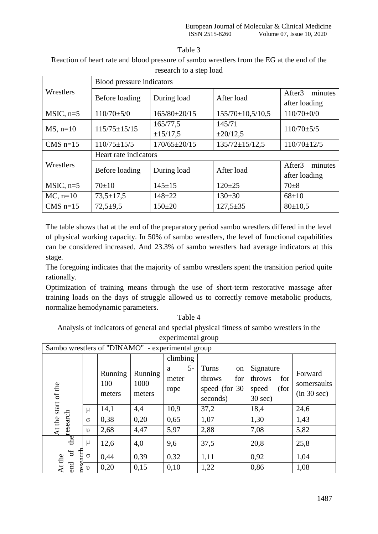| anje |  |
|------|--|
|      |  |

| Reaction of heart rate and blood pressure of sambo wrestlers from the EG at the end of the |  |
|--------------------------------------------------------------------------------------------|--|
| research to a step load                                                                    |  |

|               | Blood pressure indicators     |                    |                        |                                                |  |  |  |  |
|---------------|-------------------------------|--------------------|------------------------|------------------------------------------------|--|--|--|--|
| Wrestlers     | During load<br>Before loading |                    | After load             | After <sub>3</sub><br>minutes<br>after loading |  |  |  |  |
| $MSIC$ , n=5  | $110/70 \pm 5/0$              | $165/80 \pm 20/15$ | $155/70 \pm 10,5/10,5$ | $110/70 \pm 0/0$                               |  |  |  |  |
| $MS$ , n=10   | $115/75 \pm 15/15$            | 165/77,5           | 145/71                 | $110/70 \pm 5/5$                               |  |  |  |  |
|               |                               | ±15/17,5           | $\pm 20/12,5$          |                                                |  |  |  |  |
| CMS $n=15$    | $110/75 \pm 15/5$             | $170/65 \pm 20/15$ | $135/72 \pm 15/12,5$   |                                                |  |  |  |  |
|               | Heart rate indicators         |                    |                        |                                                |  |  |  |  |
| Wrestlers     | Before loading                | During load        | After load             | minutes<br>After <sub>3</sub>                  |  |  |  |  |
|               |                               |                    |                        | after loading                                  |  |  |  |  |
| $MSIC$ , n=5  | $70+10$                       | $145 \pm 15$       | $120 \pm 25$           | $70+8$                                         |  |  |  |  |
| $MC$ , $n=10$ | $73,5 \pm 17,5$               | $148 + 22$         | $130 \pm 30$           | $68 \pm 10$                                    |  |  |  |  |
| CMS $n=15$    | $72,5+9,5$                    | $150+20$           | $127,5+35$             | $80 \pm 10,5$                                  |  |  |  |  |

The table shows that at the end of the preparatory period sambo wrestlers differed in the level of physical working capacity. In 50% of sambo wrestlers, the level of functional capabilities can be considered increased. And 23.3% of sambo wrestlers had average indicators at this stage.

The foregoing indicates that the majority of sambo wrestlers spent the transition period quite rationally.

Optimization of training means through the use of short-term restorative massage after training loads on the days of struggle allowed us to correctly remove metabolic products, normalize hemodynamic parameters.

Table 4 Analysis of indicators of general and special physical fitness of sambo wrestlers in the experimental group

|                      | Sambo wrestlers of "DINAMO" - experimental group |               |                |                                |                              |                            |                            |  |  |  |
|----------------------|--------------------------------------------------|---------------|----------------|--------------------------------|------------------------------|----------------------------|----------------------------|--|--|--|
|                      |                                                  | Running       | Running        | climbing<br>$5-$<br>a<br>meter | Turns<br>on<br>for<br>throws | Signature<br>throws<br>for | Forward                    |  |  |  |
| At the start of the  |                                                  | 100<br>meters | 1000<br>meters | rope                           | speed (for 30)<br>seconds)   | (for<br>speed<br>$30$ sec) | somersaults<br>(in 30 sec) |  |  |  |
|                      | $\mu$                                            | 14,1          | 4,4            | 10,9                           | 37,2                         | 18,4                       | 24,6                       |  |  |  |
|                      | $\sigma$                                         | 0,38          | 0,20           | 0,65                           | 1,07                         | 1,30                       | 1,43                       |  |  |  |
|                      | $\upsilon$                                       | 2,68          | 4,47           | 5,97                           | 2,88                         | 7,08                       | 5,82                       |  |  |  |
| the research         | $\mu$                                            | 12,6          | 4,0            | 9,6                            | 37,5                         | 20,8                       | 25,8                       |  |  |  |
| arch<br>$\sigma$     | $\sigma$                                         | 0,44          | 0,39           | 0,32                           | 1,11                         | 0,92                       | 1,04                       |  |  |  |
| At the<br>end<br>٥P, | $\upsilon$                                       | 0,20          | 0,15           | 0,10                           | 1,22                         | 0,86                       | 1,08                       |  |  |  |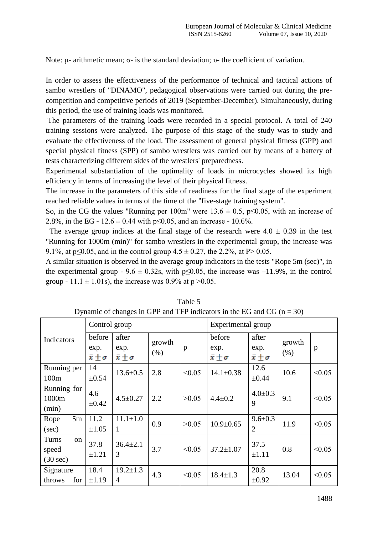Note: μ- arithmetic mean; σ- is the standard deviation; υ- the coefficient of variation.

In order to assess the effectiveness of the performance of technical and tactical actions of sambo wrestlers of "DINAMO", pedagogical observations were carried out during the precompetition and competitive periods of 2019 (September-December). Simultaneously, during this period, the use of training loads was monitored.

The parameters of the training loads were recorded in a special protocol. A total of 240 training sessions were analyzed. The purpose of this stage of the study was to study and evaluate the effectiveness of the load. The assessment of general physical fitness (GPP) and special physical fitness (SPP) of sambo wrestlers was carried out by means of a battery of tests characterizing different sides of the wrestlers' preparedness.

Experimental substantiation of the optimality of loads in microcycles showed its high efficiency in terms of increasing the level of their physical fitness.

The increase in the parameters of this side of readiness for the final stage of the experiment reached reliable values in terms of the time of the "five-stage training system".

So, in the CG the values "Running per 100m" were  $13.6 \pm 0.5$ , p $\leq 0.05$ , with an increase of 2.8%, in the EG -  $12.6 \pm 0.44$  with p $\leq 0.05$ , and an increase - 10.6%.

The average group indices at the final stage of the research were  $4.0 \pm 0.39$  in the test "Running for 1000m (min)" for sambo wrestlers in the experimental group, the increase was 9.1%, at p $\leq 0.05$ , and in the control group  $4.5 \pm 0.27$ , the 2.2%, at P $> 0.05$ .

A similar situation is observed in the average group indicators in the tests "Rope 5m (sec)", in the experimental group - 9.6  $\pm$  0.32s, with p≤0.05, the increase was -11.9%, in the control group - 11.1  $\pm$  1.01s), the increase was 0.9% at p > 0.05.

|                                            | Control group                          |                                       |                |              | Experimental group                     |                                       |                |        |
|--------------------------------------------|----------------------------------------|---------------------------------------|----------------|--------------|----------------------------------------|---------------------------------------|----------------|--------|
| Indicators                                 | before<br>exp.<br>$\bar{x} \pm \sigma$ | after<br>exp.<br>$\bar{x} \pm \sigma$ | growth<br>(% ) | $\mathbf{p}$ | before<br>exp.<br>$\bar{x} \pm \sigma$ | after<br>exp.<br>$\bar{x} \pm \sigma$ | growth<br>(% ) | p      |
| Running per<br>100m                        | 14<br>$\pm 0.54$                       | $13.6 \pm 0.5$                        | 2.8            | < 0.05       | $14.1 \pm 0.38$                        | 12.6<br>$\pm 0.44$                    | 10.6           | < 0.05 |
| Running for<br>1000m<br>(min)              | 4.6<br>$\pm 0.42$                      | $4.5 \pm 0.27$                        | 2.2            | >0.05        | $4.4 \pm 0.2$                          | $4.0 \pm 0.3$<br>9                    | 9.1            | < 0.05 |
| 5m<br>Rope<br>(sec)                        | 11.2<br>$\pm 1.05$                     | $11.1 \pm 1.0$<br>$\mathbf{1}$        | 0.9            | >0.05        | $10.9 \pm 0.65$                        | $9.6 \pm 0.3$<br>2                    | 11.9           | < 0.05 |
| Turns<br>on<br>speed<br>$(30 \text{ sec})$ | 37.8<br>$\pm 1.21$                     | $36.4 \pm 2.1$<br>3                   | 3.7            | < 0.05       | $37.2 \pm 1.07$                        | 37.5<br>$\pm 1.11$                    | 0.8            | < 0.05 |
| Signature<br>throws<br>for                 | 18.4<br>$\pm 1.19$                     | $19.2 \pm 1.3$<br>4                   | 4.3            | < 0.05       | $18.4 \pm 1.3$                         | 20.8<br>$\pm 0.92$                    | 13.04          | < 0.05 |

Table 5 Dynamic of changes in GPP and TFP indicators in the EG and CG ( $n = 30$ )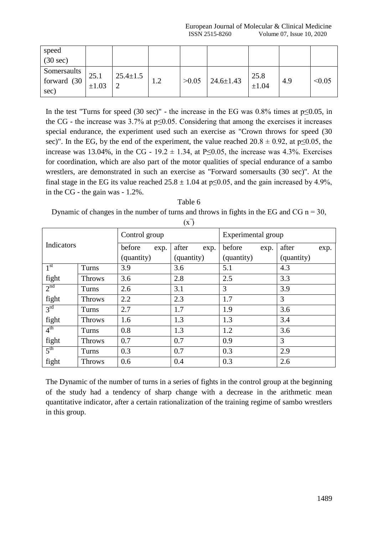| speed<br>$(30 \text{ sec})$        |                    |                |     |       |                 |               |     |        |
|------------------------------------|--------------------|----------------|-----|-------|-----------------|---------------|-----|--------|
| Somersaults<br>forward (30<br>sec) | 25.1<br>$\pm 1.03$ | $25.4 \pm 1.5$ | 1.Z | >0.05 | $24.6 \pm 1.43$ | 25.8<br>±1.04 | 4.9 | < 0.05 |

In the test "Turns for speed (30 sec)" - the increase in the EG was  $0.8\%$  times at p≤0.05, in the CG - the increase was  $3.7\%$  at p $\leq 0.05$ . Considering that among the exercises it increases special endurance, the experiment used such an exercise as "Crown throws for speed (30 sec)". In the EG, by the end of the experiment, the value reached  $20.8 \pm 0.92$ , at p≤0.05, the increase was 13.04%, in the CG - 19.2  $\pm$  1.34, at P≤0.05, the increase was 4.3%. Exercises for coordination, which are also part of the motor qualities of special endurance of a sambo wrestlers, are demonstrated in such an exercise as "Forward somersaults (30 sec)". At the final stage in the EG its value reached  $25.8 \pm 1.04$  at p $\leq 0.05$ , and the gain increased by 4.9%, in the CG - the gain was - 1.2%.

Table 6 Dynamic of changes in the number of turns and throws in fights in the EG and CG  $n = 30$ ,

|                 |               | Control group  |               | Experimental group |               |  |  |
|-----------------|---------------|----------------|---------------|--------------------|---------------|--|--|
| Indicators      |               | before<br>exp. | after<br>exp. | before<br>exp.     | after<br>exp. |  |  |
|                 |               | (quantity)     | (quantity)    | (quantity)         | (quantity)    |  |  |
| 1 <sup>st</sup> | Turns         | 3.9            | 3.6           | 5.1                | 4.3           |  |  |
| fight           | <b>Throws</b> | 3.6            | 2.8           | 2.5                | 3.3           |  |  |
| 2 <sup>nd</sup> | Turns         | 2.6            | 3.1           | 3                  | 3.9           |  |  |
| fight           | <b>Throws</b> | 2.2            | 2.3           | 1.7                | 3             |  |  |
| 3 <sup>rd</sup> | Turns         | 2.7            | 1.7           | 1.9                | 3.6           |  |  |
| fight           | <b>Throws</b> | 1.6            | 1.3           | 1.3                | 3.4           |  |  |
| 4 <sup>th</sup> | Turns         | 0.8            | 1.3           | 1.2                | 3.6           |  |  |
| fight           | <b>Throws</b> | 0.7            | 0.7           | 0.9                | 3             |  |  |
| 5 <sup>th</sup> | Turns         | 0.3            | 0.7           | 0.3                | 2.9           |  |  |
| fight           | <b>Throws</b> | 0.6            | 0.4           | 0.3                | 2.6           |  |  |

 $(x)$ 

The Dynamic of the number of turns in a series of fights in the control group at the beginning of the study had a tendency of sharp change with a decrease in the arithmetic mean quantitative indicator, after a certain rationalization of the training regime of sambo wrestlers in this group.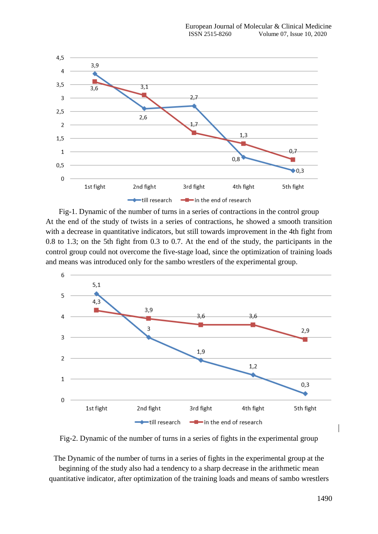

Fig-1. Dynamic of the number of turns in a series of contractions in the control group At the end of the study of twists in a series of contractions, he showed a smooth transition with a decrease in quantitative indicators, but still towards improvement in the 4th fight from 0.8 to 1.3; on the 5th fight from 0.3 to 0.7. At the end of the study, the participants in the control group could not overcome the five-stage load, since the optimization of training loads and means was introduced only for the sambo wrestlers of the experimental group.



Fig-2. Dynamic of the number of turns in a series of fights in the experimental group

The Dynamic of the number of turns in a series of fights in the experimental group at the beginning of the study also had a tendency to a sharp decrease in the arithmetic mean quantitative indicator, after optimization of the training loads and means of sambo wrestlers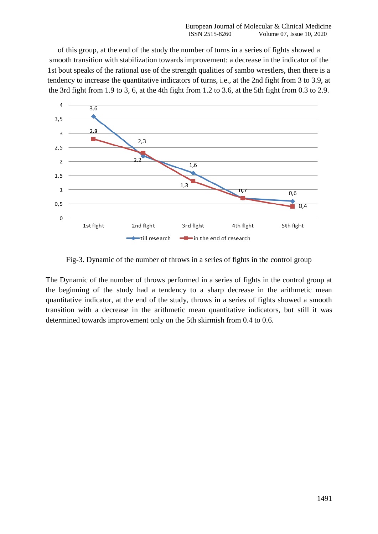of this group, at the end of the study the number of turns in a series of fights showed a smooth transition with stabilization towards improvement: a decrease in the indicator of the 1st bout speaks of the rational use of the strength qualities of sambo wrestlers, then there is a tendency to increase the quantitative indicators of turns, i.e., at the 2nd fight from 3 to 3.9, at the 3rd fight from 1.9 to 3, 6, at the 4th fight from 1.2 to 3.6, at the 5th fight from 0.3 to 2.9.



Fig-3. Dynamic of the number of throws in a series of fights in the control group

The Dynamic of the number of throws performed in a series of fights in the control group at the beginning of the study had a tendency to a sharp decrease in the arithmetic mean quantitative indicator, at the end of the study, throws in a series of fights showed a smooth transition with a decrease in the arithmetic mean quantitative indicators, but still it was determined towards improvement only on the 5th skirmish from 0.4 to 0.6.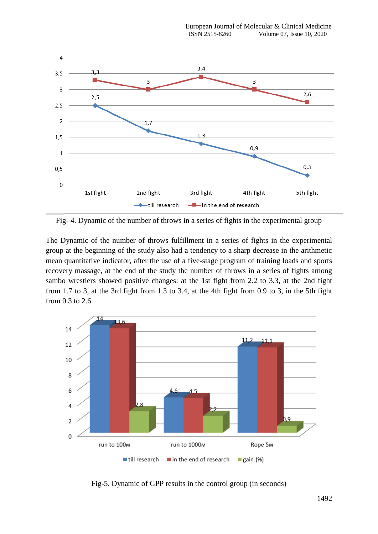

Fig- 4. Dynamic of the number of throws in a series of fights in the experimental group

The Dynamic of the number of throws fulfillment in a series of fights in the experimental group at the beginning of the study also had a tendency to a sharp decrease in the arithmetic mean quantitative indicator, after the use of a five-stage program of training loads and sports recovery massage, at the end of the study the number of throws in a series of fights among sambo wrestlers showed positive changes: at the 1st fight from 2.2 to 3.3, at the 2nd fight from 1.7 to 3, at the 3rd fight from 1.3 to 3.4, at the 4th fight from 0.9 to 3, in the 5th fight from 0.3 to 2.6.



Fig-5. Dynamic of GPP results in the control group (in seconds)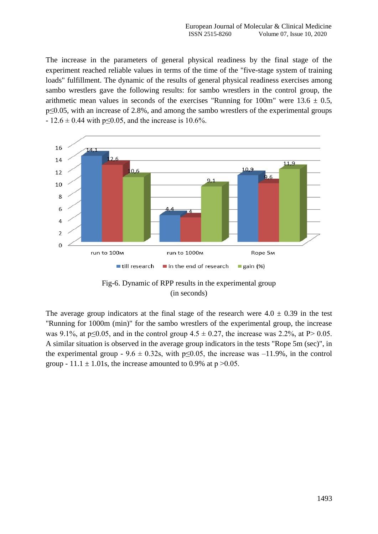The increase in the parameters of general physical readiness by the final stage of the experiment reached reliable values in terms of the time of the "five-stage system of training loads" fulfillment. The dynamic of the results of general physical readiness exercises among sambo wrestlers gave the following results: for sambo wrestlers in the control group, the arithmetic mean values in seconds of the exercises "Running for  $100m$ " were  $13.6 \pm 0.5$ , p≤0.05, with an increase of 2.8%, and among the sambo wrestlers of the experimental groups  $- 12.6 \pm 0.44$  with p $\leq 0.05$ , and the increase is 10.6%.



Fig-6. Dynamic of RPP results in the experimental group (in seconds)

The average group indicators at the final stage of the research were  $4.0 \pm 0.39$  in the test "Running for 1000m (min)" for the sambo wrestlers of the experimental group, the increase was 9.1%, at p≤0.05, and in the control group  $4.5 \pm 0.27$ , the increase was 2.2%, at P> 0.05. A similar situation is observed in the average group indicators in the tests "Rope 5m (sec)", in the experimental group - 9.6  $\pm$  0.32s, with p≤0.05, the increase was -11.9%, in the control group - 11.1  $\pm$  1.01s, the increase amounted to 0.9% at p > 0.05.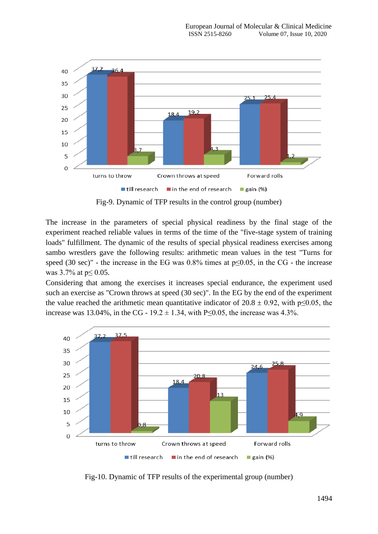

Fig-9. Dynamic of TFP results in the control group (number)

The increase in the parameters of special physical readiness by the final stage of the experiment reached reliable values in terms of the time of the "five-stage system of training" loads" fulfillment. The dynamic of the results of special physical readiness exercises among sambo wrestlers gave the following results: arithmetic mean values in the test "Turns for speed (30 sec)" - the increase in the EG was  $0.8\%$  times at  $p \le 0.05$ , in the CG - the increase was 3.7% at  $p \le 0.05$ .

Considering that among the exercises it increases special endurance, the experiment used such an exercise as "Crown throws at speed (30 sec)". In the EG by the end of the experiment the value reached the arithmetic mean quantitative indicator of  $20.8 \pm 0.92$ , with p≤0.05, the increase was 13.04%, in the CG - 19.2 ± 1.34, with P≤0.05, the increase was 4.3%.



Fig-10. Dynamic of TFP results of the experimental group (number)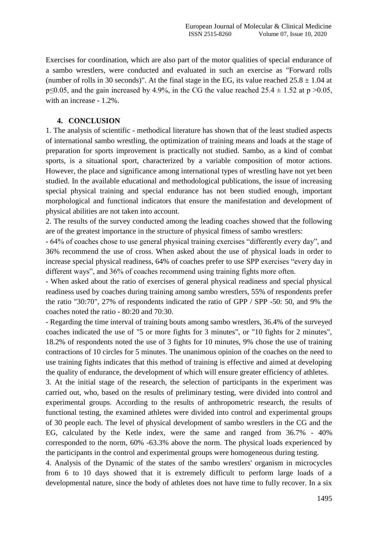Exercises for coordination, which are also part of the motor qualities of special endurance of a sambo wrestlers, were conducted and evaluated in such an exercise as "Forward rolls (number of rolls in 30 seconds)". At the final stage in the EG, its value reached  $25.8 \pm 1.04$  at  $p\leq 0.05$ , and the gain increased by 4.9%, in the CG the value reached 25.4  $\pm$  1.52 at p >0.05, with an increase - 1.2%.

## **4. CONCLUSION**

1. The analysis of scientific - methodical literature has shown that of the least studied aspects of international sambo wrestling, the optimization of training means and loads at the stage of preparation for sports improvement is practically not studied. Sambo, as a kind of combat sports, is a situational sport, characterized by a variable composition of motor actions. However, the place and significance among international types of wrestling have not yet been studied. In the available educational and methodological publications, the issue of increasing special physical training and special endurance has not been studied enough, important morphological and functional indicators that ensure the manifestation and development of physical abilities are not taken into account.

2. The results of the survey conducted among the leading coaches showed that the following are of the greatest importance in the structure of physical fitness of sambo wrestlers:

- 64% of coaches chose to use general physical training exercises "differently every day", and 36% recommend the use of cross. When asked about the use of physical loads in order to increase special physical readiness, 64% of coaches prefer to use SPP exercises "every day in different ways", and 36% of coaches recommend using training fights more often.

- When asked about the ratio of exercises of general physical readiness and special physical readiness used by coaches during training among sambo wrestlers, 55% of respondents prefer the ratio "30:70", 27% of respondents indicated the ratio of GPP / SPP -50: 50, and 9% the coaches noted the ratio - 80:20 and 70:30.

- Regarding the time interval of training bouts among sambo wrestlers, 36.4% of the surveyed coaches indicated the use of "5 or more fights for 3 minutes", or "10 fights for 2 minutes", 18.2% of respondents noted the use of 3 fights for 10 minutes, 9% chose the use of training contractions of 10 circles for 5 minutes. The unanimous opinion of the coaches on the need to use training fights indicates that this method of training is effective and aimed at developing the quality of endurance, the development of which will ensure greater efficiency of athletes.

3. At the initial stage of the research, the selection of participants in the experiment was carried out, who, based on the results of preliminary testing, were divided into control and experimental groups. According to the results of anthropometric research, the results of functional testing, the examined athletes were divided into control and experimental groups of 30 people each. The level of physical development of sambo wrestlers in the CG and the EG, calculated by the Ketle index, were the same and ranged from 36.7% - 40% corresponded to the norm, 60% -63.3% above the norm. The physical loads experienced by the participants in the control and experimental groups were homogeneous during testing.

4. Analysis of the Dynamic of the states of the sambo wrestlers' organism in microcycles from 6 to 10 days showed that it is extremely difficult to perform large loads of a developmental nature, since the body of athletes does not have time to fully recover. In a six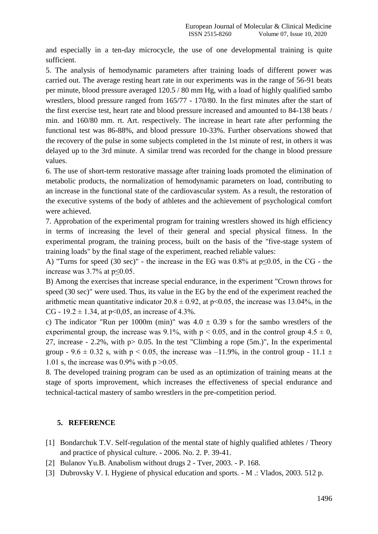and especially in a ten-day microcycle, the use of one developmental training is quite sufficient.

5. The analysis of hemodynamic parameters after training loads of different power was carried out. The average resting heart rate in our experiments was in the range of 56-91 beats per minute, blood pressure averaged 120.5 / 80 mm Hg, with a load of highly qualified sambo wrestlers, blood pressure ranged from 165/77 - 170/80. In the first minutes after the start of the first exercise test, heart rate and blood pressure increased and amounted to 84-138 beats / min. and 160/80 mm. rt. Art. respectively. The increase in heart rate after performing the functional test was 86-88%, and blood pressure 10-33%. Further observations showed that the recovery of the pulse in some subjects completed in the 1st minute of rest, in others it was delayed up to the 3rd minute. A similar trend was recorded for the change in blood pressure values.

6. The use of short-term restorative massage after training loads promoted the elimination of metabolic products, the normalization of hemodynamic parameters on load, contributing to an increase in the functional state of the cardiovascular system. As a result, the restoration of the executive systems of the body of athletes and the achievement of psychological comfort were achieved.

7. Approbation of the experimental program for training wrestlers showed its high efficiency in terms of increasing the level of their general and special physical fitness. In the experimental program, the training process, built on the basis of the "five-stage system of training loads" by the final stage of the experiment, reached reliable values:

A) "Turns for speed (30 sec)" - the increase in the EG was 0.8% at p≤0.05, in the CG - the increase was 3.7% at p≤0.05.

B) Among the exercises that increase special endurance, in the experiment "Crown throws for speed (30 sec)" were used. Thus, its value in the EG by the end of the experiment reached the arithmetic mean quantitative indicator  $20.8 \pm 0.92$ , at p $\leq 0.05$ , the increase was 13.04%, in the CG - 19.2  $\pm$  1.34, at p<0,05, an increase of 4.3%.

c) The indicator "Run per 1000m (min)" was  $4.0 \pm 0.39$  s for the sambo wrestlers of the experimental group, the increase was 9.1%, with  $p < 0.05$ , and in the control group  $4.5 \pm 0$ , 27, increase - 2.2%, with  $p > 0.05$ . In the test "Climbing a rope (5m.)", In the experimental group - 9.6  $\pm$  0.32 s, with p < 0.05, the increase was -11.9%, in the control group - 11.1  $\pm$ 1.01 s, the increase was 0.9% with  $p > 0.05$ .

8. The developed training program can be used as an optimization of training means at the stage of sports improvement, which increases the effectiveness of special endurance and technical-tactical mastery of sambo wrestlers in the pre-competition period.

## **5. REFERENCE**

- [1] Bondarchuk T.V. Self-regulation of the mental state of highly qualified athletes / Theory and practice of physical culture. - 2006. No. 2. P. 39-41.
- [2] Bulanov Yu.B. Anabolism without drugs 2 Tver, 2003. P. 168.
- [3] Dubrovsky V. I. Hygiene of physical education and sports. M .: Vlados, 2003. 512 p.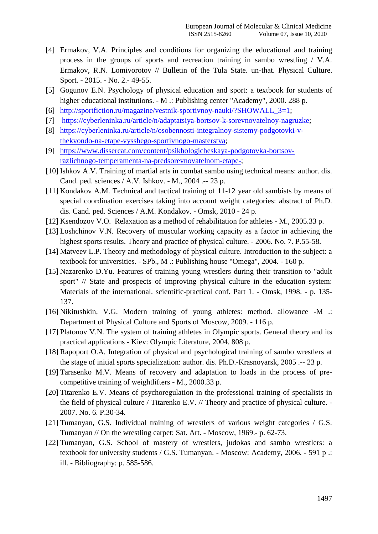- [4] Ermakov, V.A. Principles and conditions for organizing the educational and training process in the groups of sports and recreation training in sambo wrestling / V.A. Ermakov, R.N. Lomivorotov // Bulletin of the Tula State. un-that. Physical Culture. Sport. - 2015. - No. 2.- 49-55.
- [5] Gogunov E.N. Psychology of physical education and sport: a textbook for students of higher educational institutions. - M .: Publishing center "Academy", 2000. 288 p.
- [6] [http://sportfiction.ru/magazine/vestnik-sportivnoy-nauki/?SHOWALL\\_3=1;](http://sportfiction.ru/magazine/vestnik-sportivnoy-nauki/?SHOWALL_3=1)
- [7] [https://cyberleninka.ru/article/n/adaptatsiya-bortsov-k-sorevnovatelnoy-nagruzke;](https://cyberleninka.ru/article/n/adaptatsiya-bortsov-k-sorevnovatelnoy-nagruzke)
- [8] [https://cyberleninka.ru/article/n/osobennosti-integralnoy-sistemy-podgotovki-v](https://cyberleninka.ru/article/n/osobennosti-integralnoy-sistemy-podgotovki-v-thekvondo-na-etape-vysshego-sportivnogo-masterstva)[thekvondo-na-etape-vysshego-sportivnogo-masterstva;](https://cyberleninka.ru/article/n/osobennosti-integralnoy-sistemy-podgotovki-v-thekvondo-na-etape-vysshego-sportivnogo-masterstva)
- [9] [https://www.dissercat.com/content/psikhologicheskaya-podgotovka-bortsov](https://www.dissercat.com/content/psikhologicheskaya-podgotovka-bortsov-razlichnogo-temperamenta-na-predsorevnovatelnom-etape-)[razlichnogo-temperamenta-na-predsorevnovatelnom-etape-;](https://www.dissercat.com/content/psikhologicheskaya-podgotovka-bortsov-razlichnogo-temperamenta-na-predsorevnovatelnom-etape-)
- [10] Ishkov A.V. Training of martial arts in combat sambo using technical means: author. dis. Cand. ped. sciences / A.V. Ishkov. - M., 2004 .-- 23 p.
- [11] Kondakov A.M. Technical and tactical training of 11-12 year old sambists by means of special coordination exercises taking into account weight categories: abstract of Ph.D. dis. Cand. ped. Sciences / A.M. Kondakov. - Omsk, 2010 - 24 p.
- [12] Ksendozov V.O. Relaxation as a method of rehabilitation for athletes M., 2005.33 p.
- [13] Loshchinov V.N. Recovery of muscular working capacity as a factor in achieving the highest sports results. Theory and practice of physical culture. - 2006. No. 7. P.55-58.
- [14] Matveev L.P. Theory and methodology of physical culture. Introduction to the subject: a textbook for universities. - SPb., M .: Publishing house "Omega", 2004. - 160 p.
- [15] Nazarenko D.Yu. Features of training young wrestlers during their transition to "adult sport" // State and prospects of improving physical culture in the education system: Materials of the international. scientific-practical conf. Part 1. - Omsk, 1998. - p. 135- 137.
- [16] Nikitushkin, V.G. Modern training of young athletes: method. allowance -M .: Department of Physical Culture and Sports of Moscow, 2009. - 116 p.
- [17] Platonov V.N. The system of training athletes in Olympic sports. General theory and its practical applications - Kiev: Olympic Literature, 2004. 808 p.
- [18] Rapoport O.A. Integration of physical and psychological training of sambo wrestlers at the stage of initial sports specialization: author. dis. Ph.D.-Krasnoyarsk, 2005 .-- 23 p.
- [19] Tarasenko M.V. Means of recovery and adaptation to loads in the process of precompetitive training of weightlifters - M., 2000.33 p.
- [20] Titarenko E.V. Means of psychoregulation in the professional training of specialists in the field of physical culture / Titarenko E.V. // Theory and practice of physical culture. - 2007. No. 6. P.30-34.
- [21] Tumanyan, G.S. Individual training of wrestlers of various weight categories / G.S. Tumanyan // On the wrestling carpet: Sat. Art. - Moscow, 1969.- p. 62-73.
- [22] Tumanyan, G.S. School of mastery of wrestlers, judokas and sambo wrestlers: a textbook for university students / G.S. Tumanyan. - Moscow: Academy, 2006. - 591 p .: ill. - Bibliography: p. 585-586.